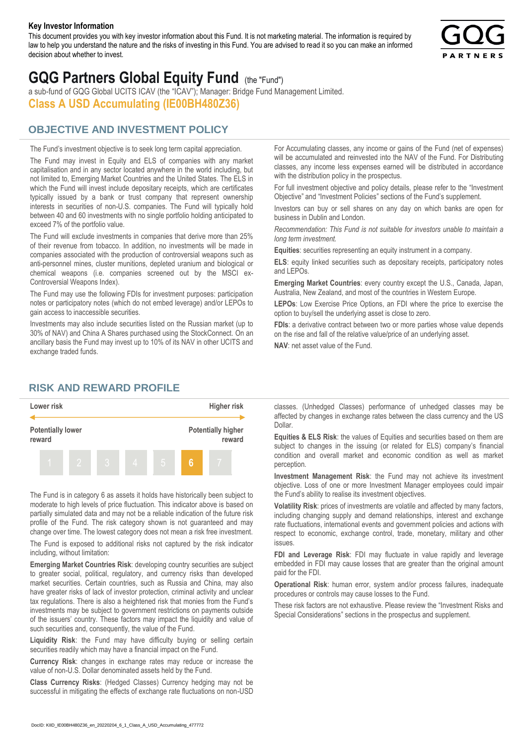#### **Key Investor Information**

This document provides you with key investor information about this Fund. It is not marketing material. The information is required by law to help you understand the nature and the risks of investing in this Fund. You are advised to read it so you can make an informed decision about whether to invest.



# **GQG Partners Global Equity Fund** (the "Fund")

a sub-fund of GQG Global UCITS ICAV (the "ICAV"); Manager: Bridge Fund Management Limited. **Class A USD Accumulating (IE00BH480Z36)**

# **OBJECTIVE AND INVESTMENT POLICY**

The Fund's investment objective is to seek long term capital appreciation. The Fund may invest in Equity and ELS of companies with any market capitalisation and in any sector located anywhere in the world including, but not limited to, Emerging Market Countries and the United States. The ELS in which the Fund will invest include depositary receipts, which are certificates typically issued by a bank or trust company that represent ownership interests in securities of non-U.S. companies. The Fund will typically hold between 40 and 60 investments with no single portfolio holding anticipated to exceed 7% of the portfolio value.

The Fund will exclude investments in companies that derive more than 25% of their revenue from tobacco. In addition, no investments will be made in companies associated with the production of controversial weapons such as anti-personnel mines, cluster munitions, depleted uranium and biological or chemical weapons (i.e. companies screened out by the MSCI ex-Controversial Weapons Index).

The Fund may use the following FDIs for investment purposes: participation notes or participatory notes (which do not embed leverage) and/or LEPOs to gain access to inaccessible securities.

Investments may also include securities listed on the Russian market (up to 30% of NAV) and China A Shares purchased using the StockConnect. On an ancillary basis the Fund may invest up to 10% of its NAV in other UCITS and exchange traded funds.

For Accumulating classes, any income or gains of the Fund (net of expenses) will be accumulated and reinvested into the NAV of the Fund. For Distributing classes, any income less expenses earned will be distributed in accordance with the distribution policy in the prospectus.

For full investment objective and policy details, please refer to the "Investment Objective" and "Investment Policies" sections of the Fund's supplement.

Investors can buy or sell shares on any day on which banks are open for business in Dublin and London.

*Recommendation: This Fund is not suitable for investors unable to maintain a long term investment.*

**Equities**: securities representing an equity instrument in a company.

**ELS**: equity linked securities such as depositary receipts, participatory notes and LEPOs.

**Emerging Market Countries**: every country except the U.S., Canada, Japan, Australia, New Zealand, and most of the countries in Western Europe.

**LEPOs**: Low Exercise Price Options, an FDI where the price to exercise the option to buy/sell the underlying asset is close to zero.

**FDIs**: a derivative contract between two or more parties whose value depends on the rise and fall of the relative value/price of an underlying asset.

**NAV**: net asset value of the Fund.

## **RISK AND REWARD PROFILE**



The Fund is in category 6 as assets it holds have historically been subject to moderate to high levels of price fluctuation. This indicator above is based on partially simulated data and may not be a reliable indication of the future risk profile of the Fund. The risk category shown is not guaranteed and may change over time. The lowest category does not mean a risk free investment.

The Fund is exposed to additional risks not captured by the risk indicator including, without limitation:

**Emerging Market Countries Risk**: developing country securities are subject to greater social, political, regulatory, and currency risks than developed market securities. Certain countries, such as Russia and China, may also have greater risks of lack of investor protection, criminal activity and unclear tax regulations. There is also a heightened risk that monies from the Fund's investments may be subject to government restrictions on payments outside of the issuers' country. These factors may impact the liquidity and value of such securities and, consequently, the value of the Fund.

**Liquidity Risk**: the Fund may have difficulty buying or selling certain securities readily which may have a financial impact on the Fund.

**Currency Risk**: changes in exchange rates may reduce or increase the value of non-U.S. Dollar denominated assets held by the Fund.

**Class Currency Risks**: (Hedged Classes) Currency hedging may not be successful in mitigating the effects of exchange rate fluctuations on non-USD classes. (Unhedged Classes) performance of unhedged classes may be affected by changes in exchange rates between the class currency and the US Dollar.

**Equities & ELS Risk**: the values of Equities and securities based on them are subject to changes in the issuing (or related for ELS) company's financial condition and overall market and economic condition as well as market perception.

**Investment Management Risk**: the Fund may not achieve its investment objective. Loss of one or more Investment Manager employees could impair the Fund's ability to realise its investment objectives.

**Volatility Risk**: prices of investments are volatile and affected by many factors, including changing supply and demand relationships, interest and exchange rate fluctuations, international events and government policies and actions with respect to economic, exchange control, trade, monetary, military and other issues.

**FDI and Leverage Risk**: FDI may fluctuate in value rapidly and leverage embedded in FDI may cause losses that are greater than the original amount paid for the FDI.

**Operational Risk**: human error, system and/or process failures, inadequate procedures or controls may cause losses to the Fund.

These risk factors are not exhaustive. Please review the "Investment Risks and Special Considerations" sections in the prospectus and supplement.